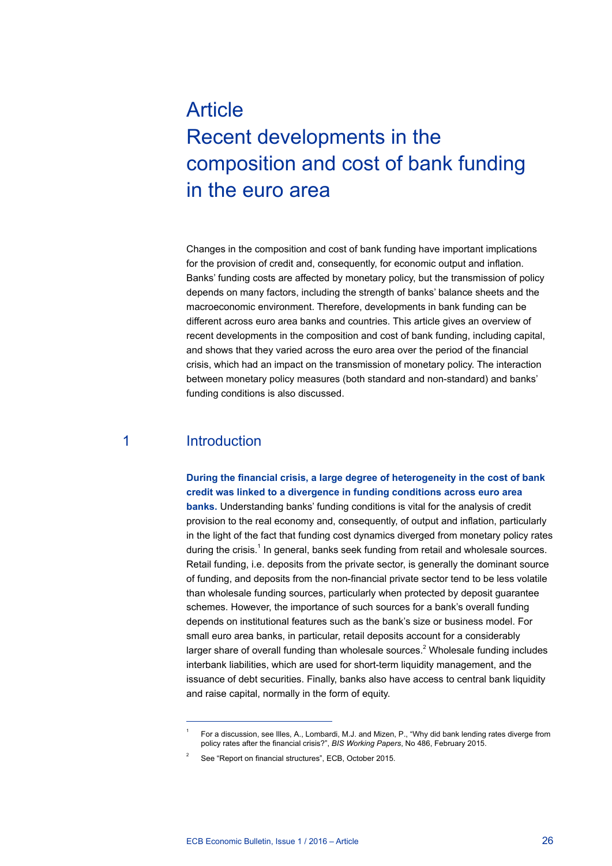# **Article** Recent developments in the composition and cost of bank funding in the euro area

Changes in the composition and cost of bank funding have important implications for the provision of credit and, consequently, for economic output and inflation. Banks' funding costs are affected by monetary policy, but the transmission of policy depends on many factors, including the strength of banks' balance sheets and the macroeconomic environment. Therefore, developments in bank funding can be different across euro area banks and countries. This article gives an overview of recent developments in the composition and cost of bank funding, including capital, and shows that they varied across the euro area over the period of the financial crisis, which had an impact on the transmission of monetary policy. The interaction between monetary policy measures (both standard and non-standard) and banks' funding conditions is also discussed.

### 1 Introduction

**During the financial crisis, a large degree of heterogeneity in the cost of bank credit was linked to a divergence in funding conditions across euro area banks.** Understanding banks' funding conditions is vital for the analysis of credit provision to the real economy and, consequently, of output and inflation, particularly in the light of the fact that funding cost dynamics diverged from monetary policy rates during the crisis.<sup>1</sup> In general, banks seek funding from retail and wholesale sources. Retail funding, i.e. deposits from the private sector, is generally the dominant source of funding, and deposits from the non-financial private sector tend to be less volatile than wholesale funding sources, particularly when protected by deposit guarantee schemes. However, the importance of such sources for a bank's overall funding depends on institutional features such as the bank's size or business model. For small euro area banks, in particular, retail deposits account for a considerably larger share of overall funding than wholesale sources.<sup>2</sup> Wholesale funding includes interbank liabilities, which are used for short-term liquidity management, and the issuance of debt securities. Finally, banks also have access to central bank liquidity and raise capital, normally in the form of equity.

<sup>1</sup> For a discussion, see Illes, A., Lombardi, M.J. and Mizen, P., "Why did bank lending rates diverge from policy rates after the financial crisis?", *BIS Working Papers*, No 486, February 2015.

See "Report on financial structures", ECB, October 2015.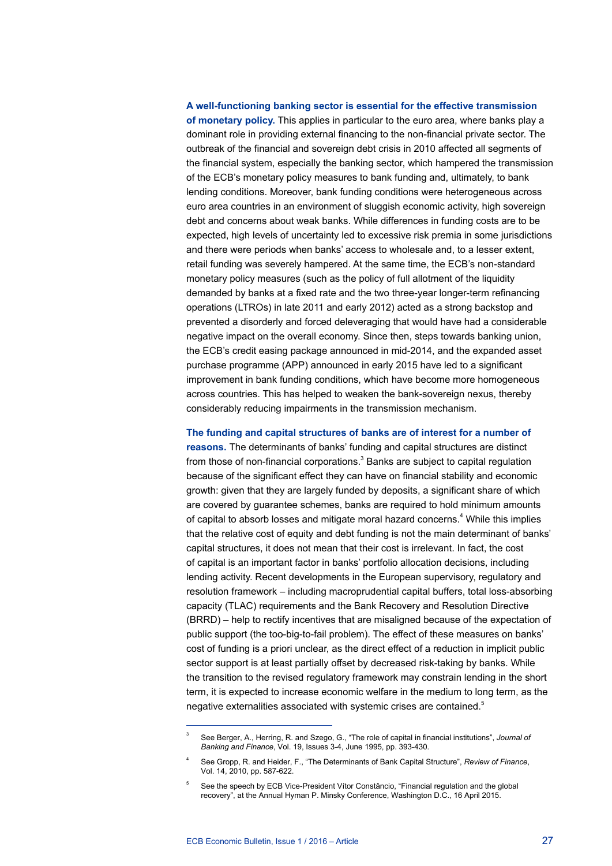### **A well-functioning banking sector is essential for the effective transmission of monetary policy.** This applies in particular to the euro area, where banks play a dominant role in providing external financing to the non-financial private sector. The outbreak of the financial and sovereign debt crisis in 2010 affected all segments of the financial system, especially the banking sector, which hampered the transmission of the ECB's monetary policy measures to bank funding and, ultimately, to bank lending conditions. Moreover, bank funding conditions were heterogeneous across euro area countries in an environment of sluggish economic activity, high sovereign debt and concerns about weak banks. While differences in funding costs are to be expected, high levels of uncertainty led to excessive risk premia in some jurisdictions and there were periods when banks' access to wholesale and, to a lesser extent, retail funding was severely hampered. At the same time, the ECB's non-standard monetary policy measures (such as the policy of full allotment of the liquidity demanded by banks at a fixed rate and the two three-year longer-term refinancing operations (LTROs) in late 2011 and early 2012) acted as a strong backstop and prevented a disorderly and forced deleveraging that would have had a considerable negative impact on the overall economy. Since then, steps towards banking union, the ECB's credit easing package announced in mid-2014, and the expanded asset purchase programme (APP) announced in early 2015 have led to a significant improvement in bank funding conditions, which have become more homogeneous across countries. This has helped to weaken the bank-sovereign nexus, thereby considerably reducing impairments in the transmission mechanism.

#### **The funding and capital structures of banks are of interest for a number of**

**reasons.** The determinants of banks' funding and capital structures are distinct from those of non-financial corporations.<sup>3</sup> Banks are subject to capital regulation because of the significant effect they can have on financial stability and economic growth: given that they are largely funded by deposits, a significant share of which are covered by guarantee schemes, banks are required to hold minimum amounts of capital to absorb losses and mitigate moral hazard concerns.<sup>4</sup> While this implies that the relative cost of equity and debt funding is not the main determinant of banks' capital structures, it does not mean that their cost is irrelevant. In fact, the cost of capital is an important factor in banks' portfolio allocation decisions, including lending activity. Recent developments in the European supervisory, regulatory and resolution framework – including macroprudential capital buffers, total loss-absorbing capacity (TLAC) requirements and the Bank Recovery and Resolution Directive (BRRD) – help to rectify incentives that are misaligned because of the expectation of public support (the too-big-to-fail problem). The effect of these measures on banks' cost of funding is a priori unclear, as the direct effect of a reduction in implicit public sector support is at least partially offset by decreased risk-taking by banks. While the transition to the revised regulatory framework may constrain lending in the short term, it is expected to increase economic welfare in the medium to long term, as the negative externalities associated with systemic crises are contained.<sup>5</sup>

<sup>3</sup> See Berger, A., Herring, R. and Szego, G., "The role of capital in financial institutions", *Journal of Banking and Finance*, Vol. 19, Issues 3-4, June 1995, pp. 393-430.

<sup>4</sup> See Gropp, R. and Heider, F., "The Determinants of Bank Capital Structure", *Review of Finance*, Vol. 14, 2010, pp. 587-622.

<sup>5</sup> See the speech by ECB Vice-President Vítor Constâncio, "Financial regulation and the global recovery", at the Annual Hyman P. Minsky Conference, Washington D.C., 16 April 2015.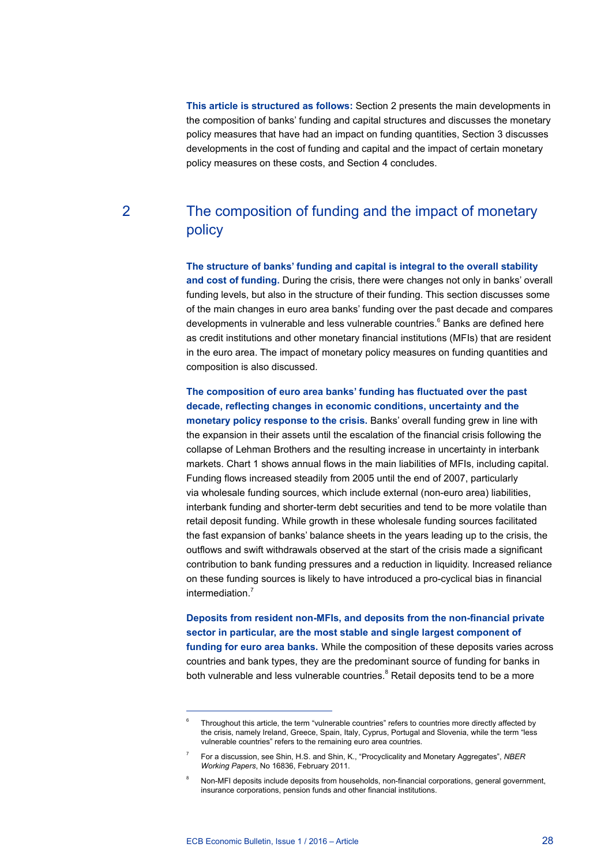**This article is structured as follows:** Section 2 presents the main developments in the composition of banks' funding and capital structures and discusses the monetary policy measures that have had an impact on funding quantities, Section 3 discusses developments in the cost of funding and capital and the impact of certain monetary policy measures on these costs, and Section 4 concludes.

## 2 The composition of funding and the impact of monetary policy

**The structure of banks' funding and capital is integral to the overall stability and cost of funding.** During the crisis, there were changes not only in banks' overall funding levels, but also in the structure of their funding. This section discusses some of the main changes in euro area banks' funding over the past decade and compares developments in vulnerable and less vulnerable countries.<sup>6</sup> Banks are defined here as credit institutions and other monetary financial institutions (MFIs) that are resident in the euro area. The impact of monetary policy measures on funding quantities and composition is also discussed.

**The composition of euro area banks' funding has fluctuated over the past decade, reflecting changes in economic conditions, uncertainty and the monetary policy response to the crisis.** Banks' overall funding grew in line with the expansion in their assets until the escalation of the financial crisis following the collapse of Lehman Brothers and the resulting increase in uncertainty in interbank markets. Chart 1 shows annual flows in the main liabilities of MFIs, including capital. Funding flows increased steadily from 2005 until the end of 2007, particularly via wholesale funding sources, which include external (non-euro area) liabilities, interbank funding and shorter-term debt securities and tend to be more volatile than retail deposit funding. While growth in these wholesale funding sources facilitated the fast expansion of banks' balance sheets in the years leading up to the crisis, the outflows and swift withdrawals observed at the start of the crisis made a significant contribution to bank funding pressures and a reduction in liquidity. Increased reliance on these funding sources is likely to have introduced a pro-cyclical bias in financial intermediation<sup>7</sup>

**Deposits from resident non-MFIs, and deposits from the non-financial private sector in particular, are the most stable and single largest component of funding for euro area banks.** While the composition of these deposits varies across countries and bank types, they are the predominant source of funding for banks in both vulnerable and less vulnerable countries.<sup>8</sup> Retail deposits tend to be a more

<sup>6</sup> Throughout this article, the term "vulnerable countries" refers to countries more directly affected by the crisis, namely Ireland, Greece, Spain, Italy, Cyprus, Portugal and Slovenia, while the term "less vulnerable countries" refers to the remaining euro area countries.

<sup>7</sup> For a discussion, see Shin, H.S. and Shin, K., "Procyclicality and Monetary Aggregates", *NBER Working Papers*, No 16836, February 2011.

<sup>8</sup> Non-MFI deposits include deposits from households, non-financial corporations, general government, insurance corporations, pension funds and other financial institutions.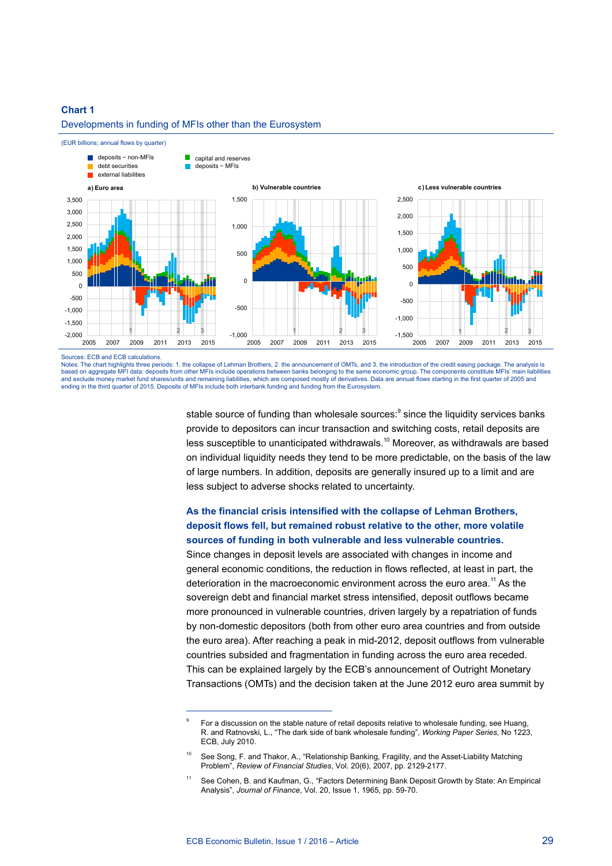#### Developments in funding of MFIs other than the Eurosystem





#### Sources: ECB and ECB calculations.

Notes: The chart highlights three periods: 1. the collapse of Lehman Brothers, 2. the announcement of OMTs, and 3. the introduction of the credit easing package. The analysis is based on aggregate MFI data: deposits from other MFIs include operations between banks belonging to the same economic group. The components constitute MFIs' main liabilities and exclude money market fund shares/units and remaining liabilities, which are composed mostly of derivatives. Data are annual flows starting in the first quarter of 2005 and ending in the third quarter of 2015. Deposits of MFIs include both interbank funding and funding from the Eurosystem.

> stable source of funding than wholesale sources:<sup>9</sup> since the liquidity services banks provide to depositors can incur transaction and switching costs, retail deposits are less susceptible to unanticipated withdrawals.10 Moreover, as withdrawals are based on individual liquidity needs they tend to be more predictable, on the basis of the law of large numbers. In addition, deposits are generally insured up to a limit and are less subject to adverse shocks related to uncertainty.

### **As the financial crisis intensified with the collapse of Lehman Brothers, deposit flows fell, but remained robust relative to the other, more volatile sources of funding in both vulnerable and less vulnerable countries.**

Since changes in deposit levels are associated with changes in income and general economic conditions, the reduction in flows reflected, at least in part, the deterioration in the macroeconomic environment across the euro area.<sup>11</sup> As the sovereign debt and financial market stress intensified, deposit outflows became more pronounced in vulnerable countries, driven largely by a repatriation of funds by non-domestic depositors (both from other euro area countries and from outside the euro area). After reaching a peak in mid-2012, deposit outflows from vulnerable countries subsided and fragmentation in funding across the euro area receded. This can be explained largely by the ECB's announcement of Outright Monetary Transactions (OMTs) and the decision taken at the June 2012 euro area summit by

<sup>9</sup> For a discussion on the stable nature of retail deposits relative to wholesale funding, see Huang, R. and Ratnovski, L., "The dark side of bank wholesale funding", *Working Paper Series*, No 1223, ECB, July 2010.

See Song, F. and Thakor, A., "Relationship Banking, Fragility, and the Asset-Liability Matching Problem", *Review of Financial Studies*, Vol. 20(6), 2007, pp. 2129-2177.

<sup>&</sup>lt;sup>11</sup> See Cohen, B. and Kaufman, G., "Factors Determining Bank Deposit Growth by State: An Empirical Analysis", *Journal of Finance*, Vol. 20, Issue 1, 1965, pp. 59-70.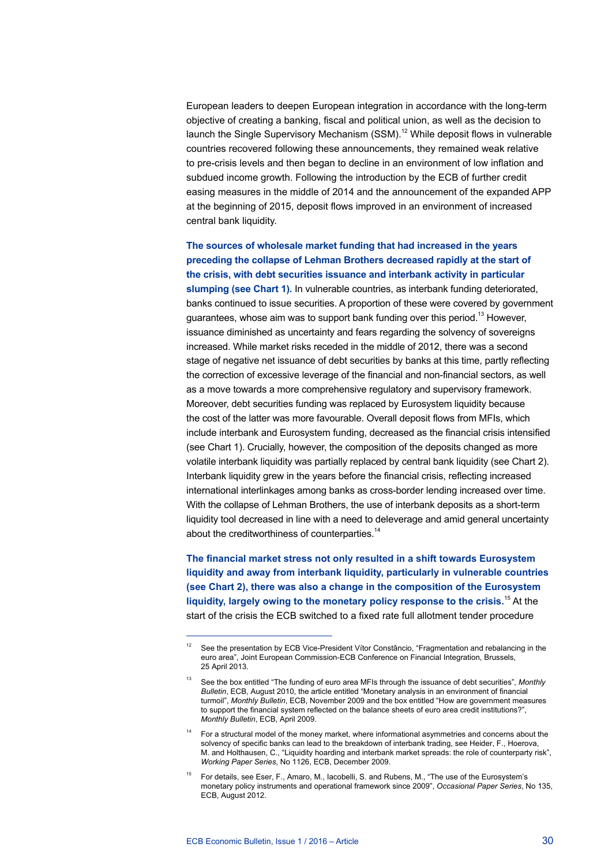European leaders to deepen European integration in accordance with the long-term objective of creating a banking, fiscal and political union, as well as the decision to launch the Single Supervisory Mechanism  $(SSM)$ .<sup>12</sup> While deposit flows in vulnerable countries recovered following these announcements, they remained weak relative to pre-crisis levels and then began to decline in an environment of low inflation and subdued income growth. Following the introduction by the ECB of further credit easing measures in the middle of 2014 and the announcement of the expanded APP at the beginning of 2015, deposit flows improved in an environment of increased central bank liquidity.

**The sources of wholesale market funding that had increased in the years preceding the collapse of Lehman Brothers decreased rapidly at the start of the crisis, with debt securities issuance and interbank activity in particular slumping (see Chart 1).** In vulnerable countries, as interbank funding deteriorated, banks continued to issue securities. A proportion of these were covered by government guarantees, whose aim was to support bank funding over this period.<sup>13</sup> However, issuance diminished as uncertainty and fears regarding the solvency of sovereigns increased. While market risks receded in the middle of 2012, there was a second stage of negative net issuance of debt securities by banks at this time, partly reflecting the correction of excessive leverage of the financial and non-financial sectors, as well as a move towards a more comprehensive regulatory and supervisory framework. Moreover, debt securities funding was replaced by Eurosystem liquidity because the cost of the latter was more favourable. Overall deposit flows from MFIs, which include interbank and Eurosystem funding, decreased as the financial crisis intensified (see Chart 1). Crucially, however, the composition of the deposits changed as more volatile interbank liquidity was partially replaced by central bank liquidity (see Chart 2). Interbank liquidity grew in the years before the financial crisis, reflecting increased international interlinkages among banks as cross-border lending increased over time. With the collapse of Lehman Brothers, the use of interbank deposits as a short-term liquidity tool decreased in line with a need to deleverage and amid general uncertainty about the creditworthiness of counterparties.<sup>14</sup>

**The financial market stress not only resulted in a shift towards Eurosystem liquidity and away from interbank liquidity, particularly in vulnerable countries (see Chart 2), there was also a change in the composition of the Eurosystem liquidity, largely owing to the monetary policy response to the crisis.**15 At the start of the crisis the ECB switched to a fixed rate full allotment tender procedure

See the presentation by ECB Vice-President Vítor Constâncio, "Fragmentation and rebalancing in the euro area", Joint European Commission-ECB Conference on Financial Integration, Brussels, 25 April 2013.

<sup>13</sup> See the box entitled "The funding of euro area MFIs through the issuance of debt securities", *Monthly Bulletin*, ECB, August 2010, the article entitled "Monetary analysis in an environment of financial turmoil", *Monthly Bulletin*, ECB, November 2009 and the box entitled "How are government measures to support the financial system reflected on the balance sheets of euro area credit institutions?", *Monthly Bulletin*, ECB, April 2009.

For a structural model of the money market, where informational asymmetries and concerns about the solvency of specific banks can lead to the breakdown of interbank trading, see Heider, F., Hoerova, M. and Holthausen, C., "Liquidity hoarding and interbank market spreads: the role of counterparty risk", *Working Paper Series*, No 1126, ECB, December 2009.

<sup>15</sup> For details, see Eser, F., Amaro, M., Iacobelli, S. and Rubens, M., "The use of the Eurosystem's monetary policy instruments and operational framework since 2009", *Occasional Paper Series*, No 135, ECB, August 2012.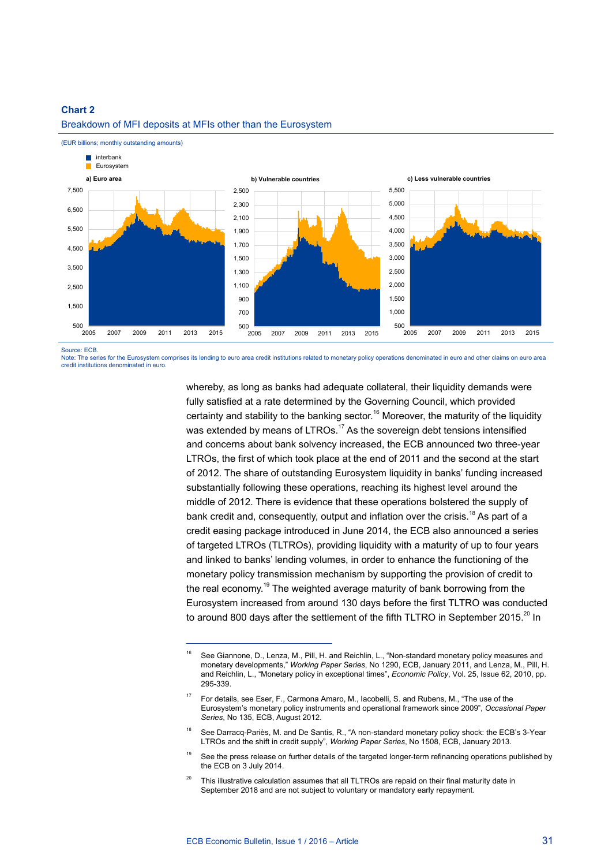(EUR billions; monthly outstanding amounts)



Breakdown of MFI deposits at MFIs other than the Eurosystem

Source: ECB.

Note: The series for the Eurosystem comprises its lending to euro area credit institutions related to monetary policy operations denominated in euro and other claims on euro area credit institutions denominated in euro.

> whereby, as long as banks had adequate collateral, their liquidity demands were fully satisfied at a rate determined by the Governing Council, which provided certainty and stability to the banking sector.<sup>16</sup> Moreover, the maturity of the liquidity was extended by means of LTROs.<sup>17</sup> As the sovereign debt tensions intensified and concerns about bank solvency increased, the ECB announced two three-year LTROs, the first of which took place at the end of 2011 and the second at the start of 2012. The share of outstanding Eurosystem liquidity in banks' funding increased substantially following these operations, reaching its highest level around the middle of 2012. There is evidence that these operations bolstered the supply of bank credit and, consequently, output and inflation over the crisis.<sup>18</sup> As part of a credit easing package introduced in June 2014, the ECB also announced a series of targeted LTROs (TLTROs), providing liquidity with a maturity of up to four years and linked to banks' lending volumes, in order to enhance the functioning of the monetary policy transmission mechanism by supporting the provision of credit to the real economy.<sup>19</sup> The weighted average maturity of bank borrowing from the Eurosystem increased from around 130 days before the first TLTRO was conducted to around 800 days after the settlement of the fifth TLTRO in September 2015.<sup>20</sup> In

<sup>16</sup> See Giannone, D., Lenza, M., Pill, H. and Reichlin, L., "Non-standard monetary policy measures and monetary developments," *Working Paper Series*, No 1290, ECB, January 2011, and Lenza, M., Pill, H. and Reichlin, L., "Monetary policy in exceptional times", *Economic Policy*, Vol. 25, Issue 62, 2010, pp. 295-339.

<sup>&</sup>lt;sup>17</sup> For details, see Eser, F., Carmona Amaro, M., lacobelli, S. and Rubens, M., "The use of the Eurosystem's monetary policy instruments and operational framework since 2009", *Occasional Paper Series*, No 135, ECB, August 2012.

<sup>&</sup>lt;sup>18</sup> See Darracq-Pariès, M. and De Santis, R., "A non-standard monetary policy shock: the ECB's 3-Year LTROs and the shift in credit supply", *Working Paper Series*, No 1508, ECB, January 2013.

See the press release on further details of the targeted longer-term refinancing operations published by the ECB on 3 July 2014.

<sup>&</sup>lt;sup>20</sup> This illustrative calculation assumes that all TLTROs are repaid on their final maturity date in September 2018 and are not subject to voluntary or mandatory early repayment.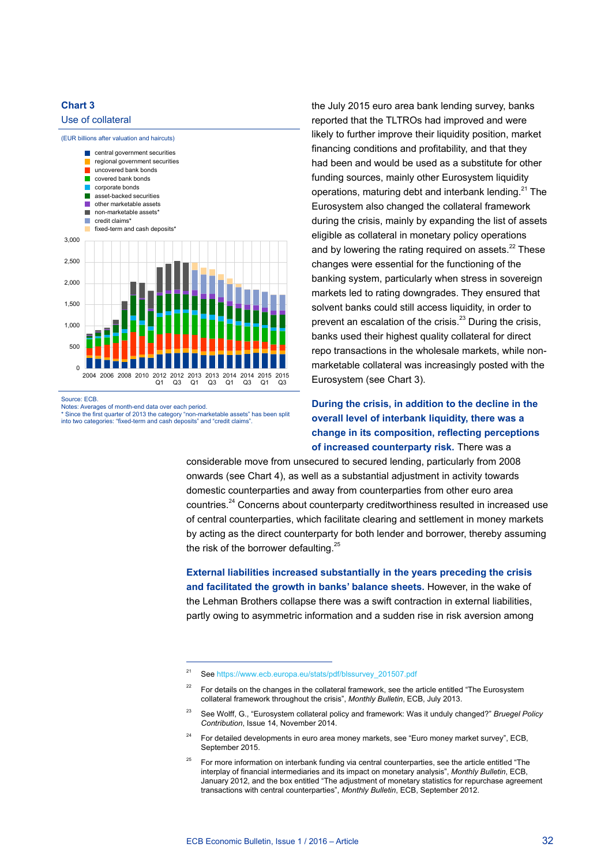

the July 2015 euro area bank lending survey, banks reported that the TLTROs had improved and were likely to further improve their liquidity position, market financing conditions and profitability, and that they had been and would be used as a substitute for other funding sources, mainly other Eurosystem liquidity operations, maturing debt and interbank lending. $21$  The Eurosystem also changed the collateral framework during the crisis, mainly by expanding the list of assets eligible as collateral in monetary policy operations and by lowering the rating required on assets. $^{22}$  These changes were essential for the functioning of the banking system, particularly when stress in sovereign markets led to rating downgrades. They ensured that solvent banks could still access liquidity, in order to prevent an escalation of the crisis. $^{23}$  During the crisis, banks used their highest quality collateral for direct repo transactions in the wholesale markets, while nonmarketable collateral was increasingly posted with the Eurosystem (see Chart 3).

**During the crisis, in addition to the decline in the overall level of interbank liquidity, there was a change in its composition, reflecting perceptions of increased counterparty risk.** There was a

considerable move from unsecured to secured lending, particularly from 2008 onwards (see Chart 4), as well as a substantial adjustment in activity towards domestic counterparties and away from counterparties from other euro area countries.<sup>24</sup> Concerns about counterparty creditworthiness resulted in increased use of central counterparties, which facilitate clearing and settlement in money markets by acting as the direct counterparty for both lender and borrower, thereby assuming the risk of the borrower defaulting.<sup>25</sup>

**External liabilities increased substantially in the years preceding the crisis and facilitated the growth in banks' balance sheets.** However, in the wake of the Lehman Brothers collapse there was a swift contraction in external liabilities, partly owing to asymmetric information and a sudden rise in risk aversion among

<sup>21</sup> See https://www.ecb.europa.eu/stats/pdf/blssurvey\_201507.pdf

<sup>&</sup>lt;sup>22</sup> For details on the changes in the collateral framework, see the article entitled "The Eurosystem collateral framework throughout the crisis", *Monthly Bulletin*, ECB, July 2013.

<sup>23</sup> See Wolff, G., "Eurosystem collateral policy and framework: Was it unduly changed?" *Bruegel Policy Contribution*, Issue 14, November 2014.

 $24$  For detailed developments in euro area money markets, see "Euro money market survey", ECB, September 2015.

<sup>25</sup> For more information on interbank funding via central counterparties, see the article entitled "The interplay of financial intermediaries and its impact on monetary analysis", *Monthly Bulletin*, ECB, January 2012, and the box entitled "The adjustment of monetary statistics for repurchase agreement transactions with central counterparties", *Monthly Bulletin*, ECB, September 2012.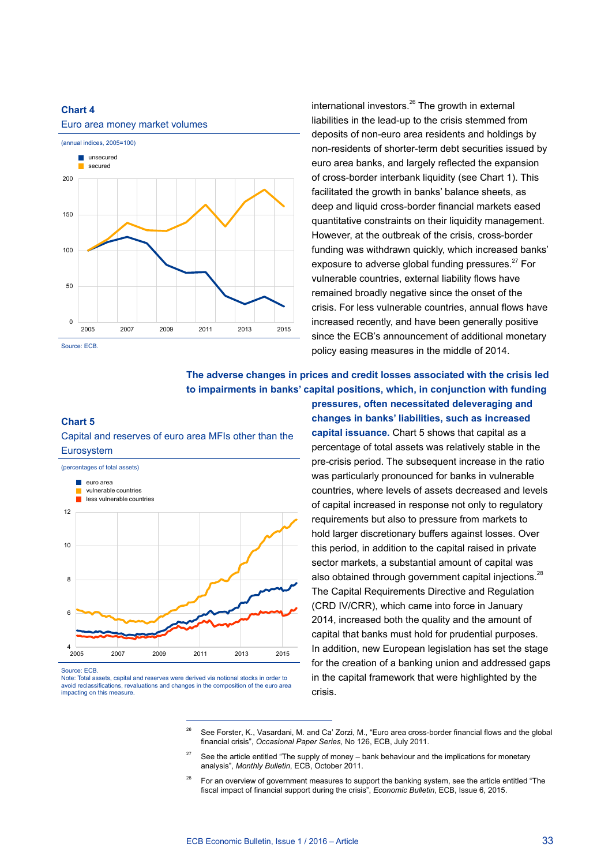

international investors. $26$  The growth in external liabilities in the lead-up to the crisis stemmed from deposits of non-euro area residents and holdings by non-residents of shorter-term debt securities issued by euro area banks, and largely reflected the expansion of cross-border interbank liquidity (see Chart 1). This facilitated the growth in banks' balance sheets, as deep and liquid cross-border financial markets eased quantitative constraints on their liquidity management. However, at the outbreak of the crisis, cross-border funding was withdrawn quickly, which increased banks' exposure to adverse global funding pressures.<sup>27</sup> For vulnerable countries, external liability flows have remained broadly negative since the onset of the crisis. For less vulnerable countries, annual flows have increased recently, and have been generally positive since the ECB's announcement of additional monetary policy easing measures in the middle of 2014.

### **The adverse changes in prices and credit losses associated with the crisis led to impairments in banks' capital positions, which, in conjunction with funding**

### **Chart 5** Capital and reserves of euro area MFIs other than the



Note: Total assets, capital and reserves were derived via notional stocks in order to avoid reclassifications, revaluations and changes in the composition of the euro area impacting on this measure.

**pressures, often necessitated deleveraging and changes in banks' liabilities, such as increased capital issuance.** Chart 5 shows that capital as a percentage of total assets was relatively stable in the pre-crisis period. The subsequent increase in the ratio was particularly pronounced for banks in vulnerable countries, where levels of assets decreased and levels of capital increased in response not only to regulatory requirements but also to pressure from markets to hold larger discretionary buffers against losses. Over this period, in addition to the capital raised in private sector markets, a substantial amount of capital was also obtained through government capital injections.<sup>28</sup> The Capital Requirements Directive and Regulation (CRD IV/CRR), which came into force in January 2014, increased both the quality and the amount of capital that banks must hold for prudential purposes. In addition, new European legislation has set the stage for the creation of a banking union and addressed gaps in the capital framework that were highlighted by the crisis.

<sup>26</sup> See Forster, K., Vasardani, M. and Ca' Zorzi, M., "Euro area cross-border financial flows and the global financial crisis", *Occasional Paper Series*, No 126, ECB, July 2011.

<sup>27</sup> See the article entitled "The supply of money – bank behaviour and the implications for monetary analysis", *Monthly Bulletin*, ECB, October 2011.

<sup>28</sup> For an overview of government measures to support the banking system, see the article entitled "The fiscal impact of financial support during the crisis", *Economic Bulletin*, ECB, Issue 6, 2015.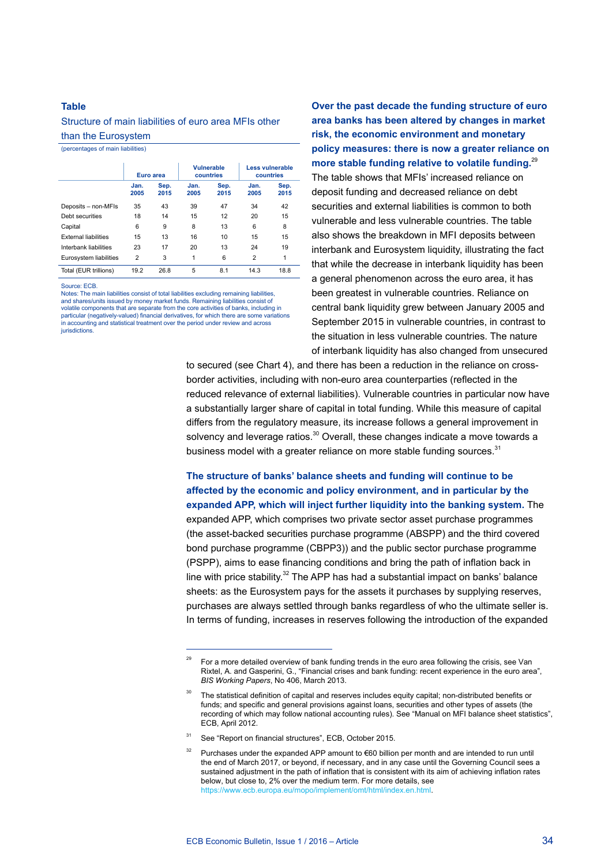#### **Table**

#### Structure of main liabilities of euro area MFIs other than the Eurosystem

(percentages of main liabilities)

|                             | Euro area      |              | Vulnerable<br>countries |              | Less vulnerable<br>countries |              |
|-----------------------------|----------------|--------------|-------------------------|--------------|------------------------------|--------------|
|                             | Jan.<br>2005   | Sep.<br>2015 | Jan.<br>2005            | Sep.<br>2015 | Jan.<br>2005                 | Sep.<br>2015 |
| Deposits - non-MFIs         | 35             | 43           | 39                      | 47           | 34                           | 42           |
| Debt securities             | 18             | 14           | 15                      | 12           | 20                           | 15           |
| Capital                     | 6              | 9            | 8                       | 13           | 6                            | 8            |
| <b>External liabilities</b> | 15             | 13           | 16                      | 10           | 15                           | 15           |
| Interbank liabilities       | 23             | 17           | 20                      | 13           | 24                           | 19           |
| Eurosystem liabilities      | $\overline{2}$ | 3            | 1                       | 6            | $\overline{2}$               | 1            |
| Total (EUR trillions)       | 19.2           | 26.8         | 5                       | 8.1          | 14.3                         | 18.8         |

Source: ECB.

Notes: The main liabilities consist of total liabilities excluding remaining liabilities, and shares/units issued by money market funds. Remaining liabilities consist of volatile components that are separate from the core activities of banks, including in particular (negatively-valued) fi nancial derivatives, for which there are some variations in accounting and statistical treatment over the period under review and across jurisdictions.

**Over the past decade the funding structure of euro area banks has been altered by changes in market risk, the economic environment and monetary policy measures: there is now a greater reliance on more stable funding relative to volatile funding.**<sup>29</sup> The table shows that MFIs' increased reliance on deposit funding and decreased reliance on debt securities and external liabilities is common to both vulnerable and less vulnerable countries. The table also shows the breakdown in MFI deposits between interbank and Eurosystem liquidity, illustrating the fact that while the decrease in interbank liquidity has been a general phenomenon across the euro area, it has been greatest in vulnerable countries. Reliance on central bank liquidity grew between January 2005 and September 2015 in vulnerable countries, in contrast to the situation in less vulnerable countries. The nature of interbank liquidity has also changed from unsecured

to secured (see Chart 4), and there has been a reduction in the reliance on crossborder activities, including with non-euro area counterparties (reflected in the reduced relevance of external liabilities). Vulnerable countries in particular now have a substantially larger share of capital in total funding. While this measure of capital differs from the regulatory measure, its increase follows a general improvement in solvency and leverage ratios.<sup>30</sup> Overall, these changes indicate a move towards a business model with a greater reliance on more stable funding sources.<sup>31</sup>

**The structure of banks' balance sheets and funding will continue to be affected by the economic and policy environment, and in particular by the expanded APP, which will inject further liquidity into the banking system.** The expanded APP, which comprises two private sector asset purchase programmes (the asset-backed securities purchase programme (ABSPP) and the third covered bond purchase programme (CBPP3)) and the public sector purchase programme (PSPP), aims to ease financing conditions and bring the path of inflation back in line with price stability. $32$  The APP has had a substantial impact on banks' balance sheets: as the Eurosystem pays for the assets it purchases by supplying reserves, purchases are always settled through banks regardless of who the ultimate seller is. In terms of funding, increases in reserves following the introduction of the expanded

<sup>29</sup> For a more detailed overview of bank funding trends in the euro area following the crisis, see Van Rixtel, A. and Gasperini, G., "Financial crises and bank funding: recent experience in the euro area", *BIS Working Papers*, No 406, March 2013.

The statistical definition of capital and reserves includes equity capital; non-distributed benefits or funds; and specific and general provisions against loans, securities and other types of assets (the recording of which may follow national accounting rules). See "Manual on MFI balance sheet statistics", ECB, April 2012.

See "Report on financial structures", ECB, October 2015.

Purchases under the expanded APP amount to €60 billion per month and are intended to run until the end of March 2017, or beyond, if necessary, and in any case until the Governing Council sees a sustained adjustment in the path of inflation that is consistent with its aim of achieving inflation rates below, but close to, 2% over the medium term. For more details, see https://www.ecb.europa.eu/mopo/implement/omt/html/index.en.html.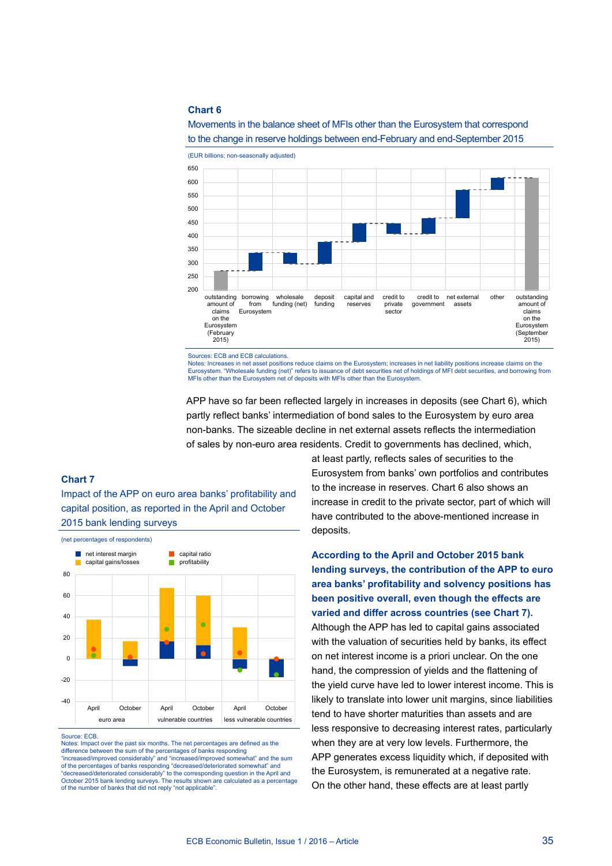

Movements in the balance sheet of MFIs other than the Eurosystem that correspond to the change in reserve holdings between end-February and end-September 2015

Sources: ECB and ECB calculations.<br>Notes: Increases in net asset position

es in net asset positions reduce claims on the Eurosystem; increases in net liability positions increase claims on the Eurosystem. "Wholesale funding (net)" refers to issuance of debt securities net of holdings of MFI debt securities, and borrowing from MFIs other than the Eurosystem net of deposits with MFIs other than the Eurosystem.

APP have so far been reflected largely in increases in deposits (see Chart 6), which partly reflect banks' intermediation of bond sales to the Eurosystem by euro area non-banks. The sizeable decline in net external assets reflects the intermediation of sales by non-euro area residents. Credit to governments has declined, which,

#### **Chart 7**

Impact of the APP on euro area banks' profitability and capital position, as reported in the April and October 2015 bank lending surveys



Source: ECB.

Notes: Impact over the past six months. The net percentages are defined as the difference between the sum of the percentages of banks responding "increased/improved considerably" and "increased/improved somewhat" and the sum of the percentages of banks responding "decreased/deteriorated somewhat" and to the corresponding question in the April and October 2015 bank lending surveys. The results shown are calculated as a percentage of the number of banks that did not reply "not applicable".

at least partly, reflects sales of securities to the Eurosystem from banks' own portfolios and contributes to the increase in reserves. Chart 6 also shows an increase in credit to the private sector, part of which will have contributed to the above-mentioned increase in deposits.

**According to the April and October 2015 bank lending surveys, the contribution of the APP to euro area banks' profitability and solvency positions has been positive overall, even though the effects are varied and differ across countries (see Chart 7).** Although the APP has led to capital gains associated with the valuation of securities held by banks, its effect on net interest income is a priori unclear. On the one hand, the compression of yields and the flattening of the yield curve have led to lower interest income. This is likely to translate into lower unit margins, since liabilities tend to have shorter maturities than assets and are less responsive to decreasing interest rates, particularly when they are at very low levels. Furthermore, the APP generates excess liquidity which, if deposited with the Eurosystem, is remunerated at a negative rate. On the other hand, these effects are at least partly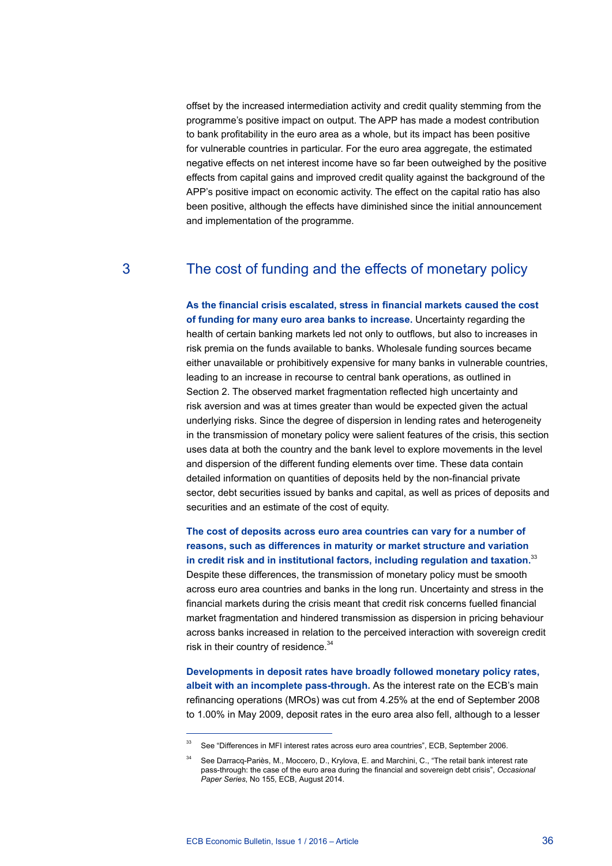offset by the increased intermediation activity and credit quality stemming from the programme's positive impact on output. The APP has made a modest contribution to bank profitability in the euro area as a whole, but its impact has been positive for vulnerable countries in particular. For the euro area aggregate, the estimated negative effects on net interest income have so far been outweighed by the positive effects from capital gains and improved credit quality against the background of the APP's positive impact on economic activity. The effect on the capital ratio has also been positive, although the effects have diminished since the initial announcement and implementation of the programme.

### 3 The cost of funding and the effects of monetary policy

**As the financial crisis escalated, stress in financial markets caused the cost of funding for many euro area banks to increase.** Uncertainty regarding the health of certain banking markets led not only to outflows, but also to increases in risk premia on the funds available to banks. Wholesale funding sources became either unavailable or prohibitively expensive for many banks in vulnerable countries, leading to an increase in recourse to central bank operations, as outlined in Section 2. The observed market fragmentation reflected high uncertainty and risk aversion and was at times greater than would be expected given the actual underlying risks. Since the degree of dispersion in lending rates and heterogeneity in the transmission of monetary policy were salient features of the crisis, this section uses data at both the country and the bank level to explore movements in the level and dispersion of the different funding elements over time. These data contain detailed information on quantities of deposits held by the non-financial private sector, debt securities issued by banks and capital, as well as prices of deposits and securities and an estimate of the cost of equity.

**The cost of deposits across euro area countries can vary for a number of reasons, such as differences in maturity or market structure and variation in credit risk and in institutional factors, including regulation and taxation.**<sup>33</sup> Despite these differences, the transmission of monetary policy must be smooth across euro area countries and banks in the long run. Uncertainty and stress in the financial markets during the crisis meant that credit risk concerns fuelled financial market fragmentation and hindered transmission as dispersion in pricing behaviour across banks increased in relation to the perceived interaction with sovereign credit risk in their country of residence.<sup>34</sup>

**Developments in deposit rates have broadly followed monetary policy rates, albeit with an incomplete pass-through.** As the interest rate on the ECB's main refinancing operations (MROs) was cut from 4.25% at the end of September 2008 to 1.00% in May 2009, deposit rates in the euro area also fell, although to a lesser

<sup>&</sup>lt;sup>33</sup> See "Differences in MFI interest rates across euro area countries", ECB, September 2006.

<sup>&</sup>lt;sup>34</sup> See Darracq-Pariès, M., Moccero, D., Krylova, E. and Marchini, C., "The retail bank interest rate pass-through: the case of the euro area during the financial and sovereign debt crisis", *Occasional Paper Series*, No 155, ECB, August 2014.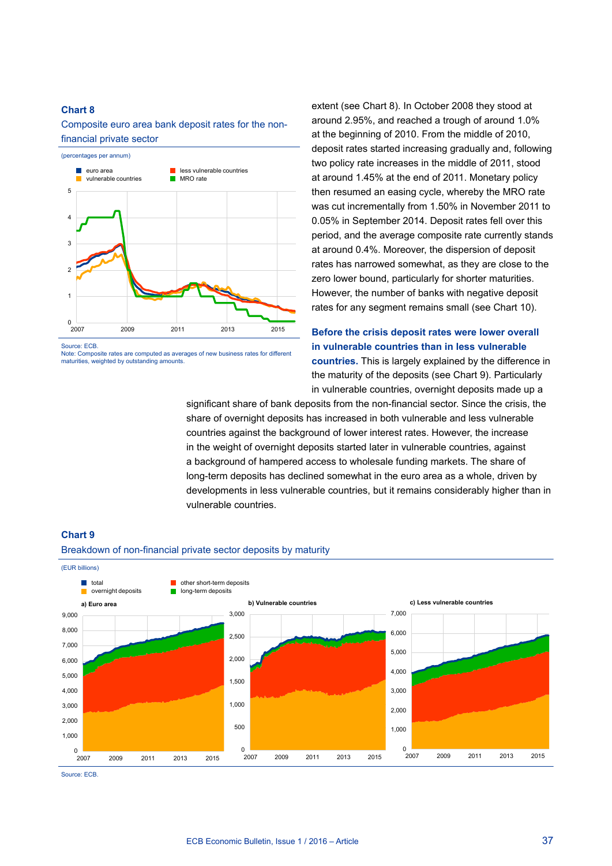Composite euro area bank deposit rates for the nonfinancial private sector



Source: ECB.

Note: Composite rates are computed as averages of new business rates for different maturities, weighted by outstanding amounts.

extent (see Chart 8). In October 2008 they stood at around 2.95%, and reached a trough of around 1.0% at the beginning of 2010. From the middle of 2010, deposit rates started increasing gradually and, following two policy rate increases in the middle of 2011, stood at around 1.45% at the end of 2011. Monetary policy then resumed an easing cycle, whereby the MRO rate was cut incrementally from 1.50% in November 2011 to 0.05% in September 2014. Deposit rates fell over this period, and the average composite rate currently stands at around 0.4%. Moreover, the dispersion of deposit rates has narrowed somewhat, as they are close to the zero lower bound, particularly for shorter maturities. However, the number of banks with negative deposit rates for any segment remains small (see Chart 10).

### **Before the crisis deposit rates were lower overall in vulnerable countries than in less vulnerable countries.** This is largely explained by the difference in the maturity of the deposits (see Chart 9). Particularly in vulnerable countries, overnight deposits made up a

significant share of bank deposits from the non-financial sector. Since the crisis, the share of overnight deposits has increased in both vulnerable and less vulnerable countries against the background of lower interest rates. However, the increase in the weight of overnight deposits started later in vulnerable countries, against a background of hampered access to wholesale funding markets. The share of long-term deposits has declined somewhat in the euro area as a whole, driven by developments in less vulnerable countries, but it remains considerably higher than in vulnerable countries.





Source: ECB.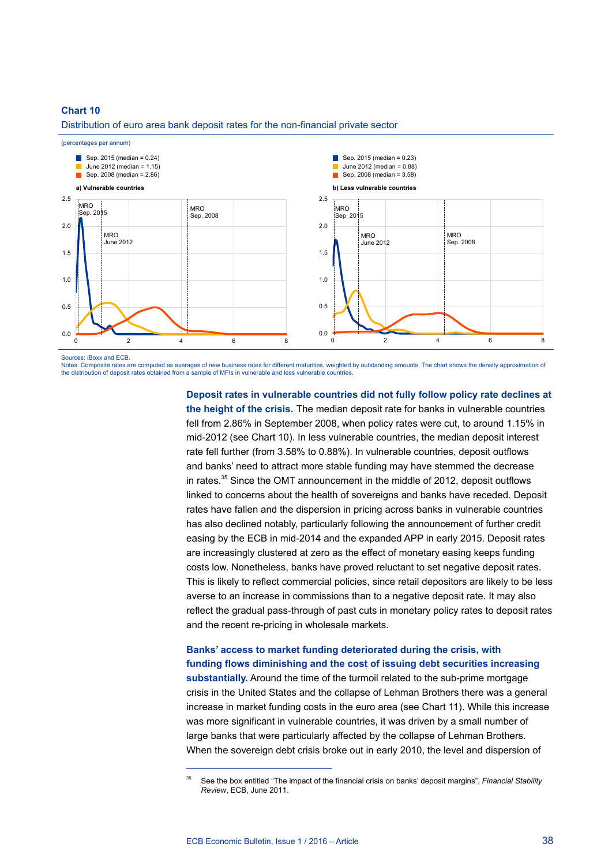Distribution of euro area bank deposit rates for the non-financial private sector



Sources: iBoxx and ECB.

Notes: Composite rates are computed as averages of new business rates for different maturities, weighted by outstanding amounts. The chart shows the density approximation of the distribution of deposit rates obtained from a sample of MFIs in vulnerable and less vulnerable countries.

> **Deposit rates in vulnerable countries did not fully follow policy rate declines at the height of the crisis.** The median deposit rate for banks in vulnerable countries fell from 2.86% in September 2008, when policy rates were cut, to around 1.15% in mid-2012 (see Chart 10). In less vulnerable countries, the median deposit interest rate fell further (from 3.58% to 0.88%). In vulnerable countries, deposit outflows and banks' need to attract more stable funding may have stemmed the decrease in rates. $35$  Since the OMT announcement in the middle of 2012, deposit outflows linked to concerns about the health of sovereigns and banks have receded. Deposit rates have fallen and the dispersion in pricing across banks in vulnerable countries has also declined notably, particularly following the announcement of further credit easing by the ECB in mid-2014 and the expanded APP in early 2015. Deposit rates are increasingly clustered at zero as the effect of monetary easing keeps funding costs low. Nonetheless, banks have proved reluctant to set negative deposit rates. This is likely to reflect commercial policies, since retail depositors are likely to be less averse to an increase in commissions than to a negative deposit rate. It may also reflect the gradual pass-through of past cuts in monetary policy rates to deposit rates and the recent re-pricing in wholesale markets.

### **Banks' access to market funding deteriorated during the crisis, with funding flows diminishing and the cost of issuing debt securities increasing substantially.** Around the time of the turmoil related to the sub-prime mortgage crisis in the United States and the collapse of Lehman Brothers there was a general increase in market funding costs in the euro area (see Chart 11). While this increase was more significant in vulnerable countries, it was driven by a small number of large banks that were particularly affected by the collapse of Lehman Brothers. When the sovereign debt crisis broke out in early 2010, the level and dispersion of

<sup>35</sup> See the box entitled "The impact of the financial crisis on banks' deposit margins", *Financial Stability Review*, ECB, June 2011.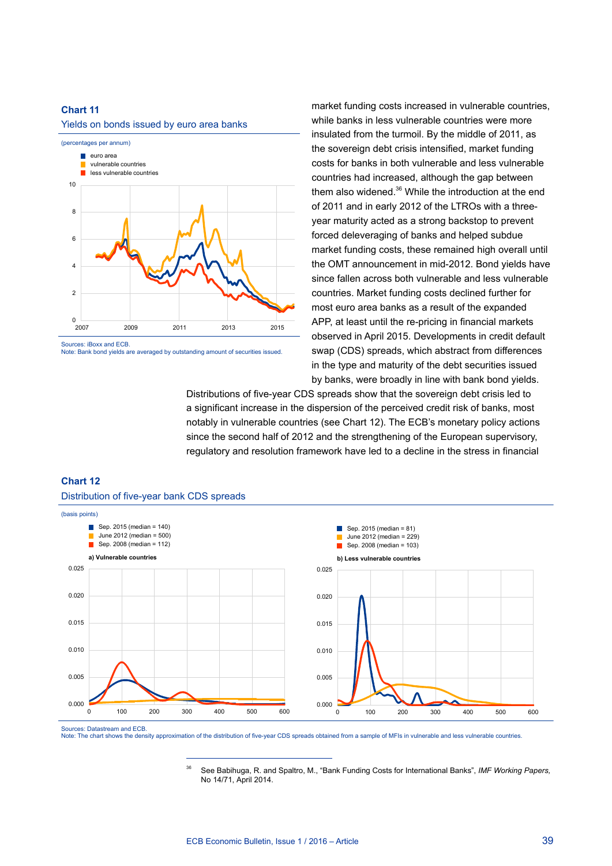



Note: Bank bond yields are averaged by outstanding amount of securities issued.

market funding costs increased in vulnerable countries, while banks in less vulnerable countries were more insulated from the turmoil. By the middle of 2011, as the sovereign debt crisis intensified, market funding costs for banks in both vulnerable and less vulnerable countries had increased, although the gap between them also widened.<sup>36</sup> While the introduction at the end of 2011 and in early 2012 of the LTROs with a threeyear maturity acted as a strong backstop to prevent forced deleveraging of banks and helped subdue market funding costs, these remained high overall until the OMT announcement in mid-2012. Bond yields have since fallen across both vulnerable and less vulnerable countries. Market funding costs declined further for most euro area banks as a result of the expanded APP, at least until the re-pricing in financial markets observed in April 2015. Developments in credit default swap (CDS) spreads, which abstract from differences in the type and maturity of the debt securities issued by banks, were broadly in line with bank bond yields.

Distributions of five-year CDS spreads show that the sovereign debt crisis led to a significant increase in the dispersion of the perceived credit risk of banks, most notably in vulnerable countries (see Chart 12). The ECB's monetary policy actions since the second half of 2012 and the strengthening of the European supervisory, regulatory and resolution framework have led to a decline in the stress in financial

# **Chart 12**



Distribution of five-year bank CDS spreads

Sources: Datastream and ECB.

Note: The chart shows the density approximation of the distribution of five-year CDS spreads obtained from a sample of MFIs in vulnerable and less vulnerable countries.

<sup>36</sup> See Babihuga, R. and Spaltro, M., "Bank Funding Costs for International Banks", *IMF Working Papers,* No 14/71, April 2014.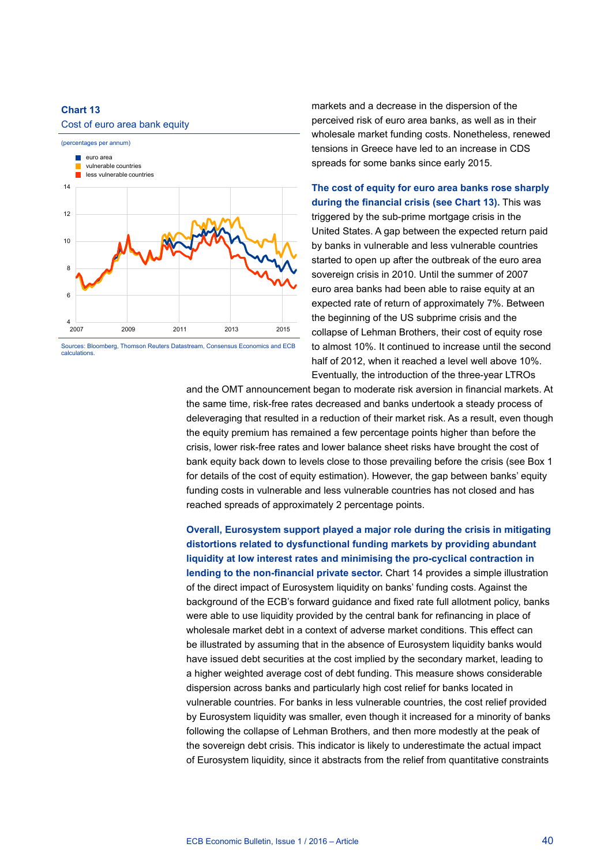#### Cost of euro area bank equity



Sources: Bloomberg, Thomson Reuters Datastream, Consensus Economics and ECB calculations.

markets and a decrease in the dispersion of the perceived risk of euro area banks, as well as in their wholesale market funding costs. Nonetheless, renewed tensions in Greece have led to an increase in CDS spreads for some banks since early 2015.

**The cost of equity for euro area banks rose sharply during the financial crisis (see Chart 13).** This was triggered by the sub-prime mortgage crisis in the United States. A gap between the expected return paid by banks in vulnerable and less vulnerable countries started to open up after the outbreak of the euro area sovereign crisis in 2010. Until the summer of 2007 euro area banks had been able to raise equity at an expected rate of return of approximately 7%. Between the beginning of the US subprime crisis and the collapse of Lehman Brothers, their cost of equity rose to almost 10%. It continued to increase until the second half of 2012, when it reached a level well above 10%. Eventually, the introduction of the three-year LTROs

and the OMT announcement began to moderate risk aversion in financial markets. At the same time, risk-free rates decreased and banks undertook a steady process of deleveraging that resulted in a reduction of their market risk. As a result, even though the equity premium has remained a few percentage points higher than before the crisis, lower risk-free rates and lower balance sheet risks have brought the cost of bank equity back down to levels close to those prevailing before the crisis (see Box 1 for details of the cost of equity estimation). However, the gap between banks' equity funding costs in vulnerable and less vulnerable countries has not closed and has reached spreads of approximately 2 percentage points.

**Overall, Eurosystem support played a major role during the crisis in mitigating distortions related to dysfunctional funding markets by providing abundant liquidity at low interest rates and minimising the pro-cyclical contraction in lending to the non-financial private sector.** Chart 14 provides a simple illustration of the direct impact of Eurosystem liquidity on banks' funding costs. Against the background of the ECB's forward guidance and fixed rate full allotment policy, banks were able to use liquidity provided by the central bank for refinancing in place of wholesale market debt in a context of adverse market conditions. This effect can be illustrated by assuming that in the absence of Eurosystem liquidity banks would have issued debt securities at the cost implied by the secondary market, leading to a higher weighted average cost of debt funding. This measure shows considerable dispersion across banks and particularly high cost relief for banks located in vulnerable countries. For banks in less vulnerable countries, the cost relief provided by Eurosystem liquidity was smaller, even though it increased for a minority of banks following the collapse of Lehman Brothers, and then more modestly at the peak of the sovereign debt crisis. This indicator is likely to underestimate the actual impact of Eurosystem liquidity, since it abstracts from the relief from quantitative constraints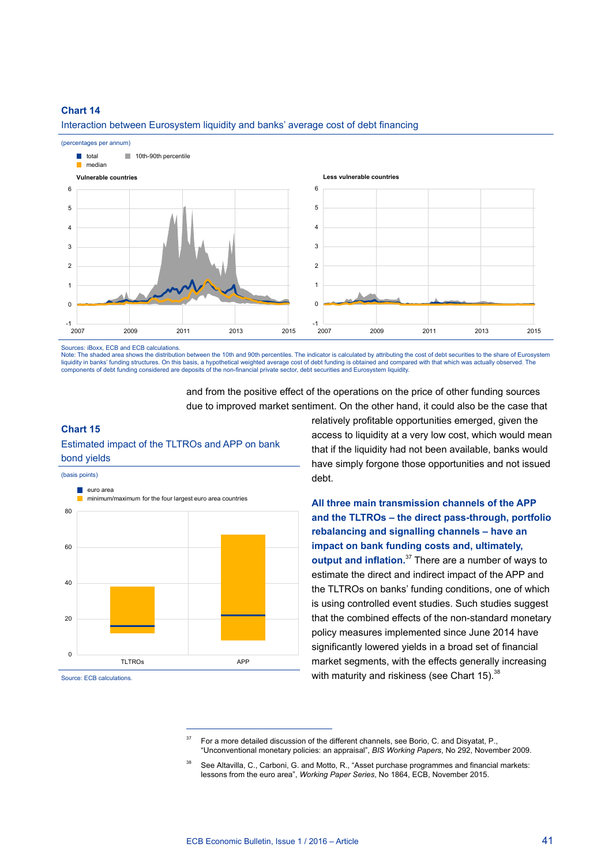

Interaction between Eurosystem liquidity and banks' average cost of debt financing

Sources: iBoxx, ECB and ECB calculations.

Note: The shaded area shows the distribution between the 10th and 90th percentiles. The indicator is calculated by attributing the cost of debt securities to the share of Eurosystem liquidity in banks' funding structures. On this basis, a hypothetical weighted average cost of debt funding is obtained and compared with that which was actually observed. The components of debt funding considered are deposits of the non-financial private sector, debt securities and Eurosystem liquidity.

> and from the positive effect of the operations on the price of other funding sources due to improved market sentiment. On the other hand, it could also be the case that

#### **Chart 15**

#### Estimated impact of the TLTROs and APP on bank bond yields

(basis points)



Source: ECB calculations.

relatively profitable opportunities emerged, given the access to liquidity at a very low cost, which would mean that if the liquidity had not been available, banks would have simply forgone those opportunities and not issued debt.

**All three main transmission channels of the APP and the TLTROs – the direct pass-through, portfolio rebalancing and signalling channels – have an impact on bank funding costs and, ultimately, output and inflation.**37 There are a number of ways to estimate the direct and indirect impact of the APP and the TLTROs on banks' funding conditions, one of which is using controlled event studies. Such studies suggest that the combined effects of the non-standard monetary policy measures implemented since June 2014 have significantly lowered yields in a broad set of financial market segments, with the effects generally increasing with maturity and riskiness (see Chart 15).<sup>38</sup>

 $37$  For a more detailed discussion of the different channels, see Borio, C. and Disyatat, P., "Unconventional monetary policies: an appraisal", *BIS Working Papers*, No 292, November 2009.

See Altavilla, C., Carboni, G. and Motto, R., "Asset purchase programmes and financial markets: lessons from the euro area", *Working Paper Series*, No 1864, ECB, November 2015.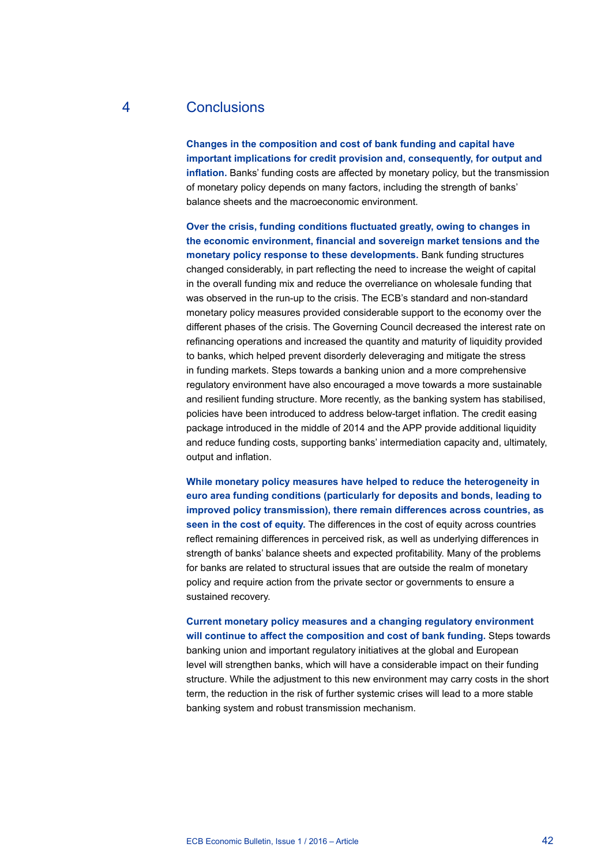## 4 Conclusions

**Changes in the composition and cost of bank funding and capital have important implications for credit provision and, consequently, for output and inflation.** Banks' funding costs are affected by monetary policy, but the transmission of monetary policy depends on many factors, including the strength of banks' balance sheets and the macroeconomic environment.

**Over the crisis, funding conditions fluctuated greatly, owing to changes in the economic environment, financial and sovereign market tensions and the monetary policy response to these developments.** Bank funding structures changed considerably, in part reflecting the need to increase the weight of capital in the overall funding mix and reduce the overreliance on wholesale funding that was observed in the run-up to the crisis. The ECB's standard and non-standard monetary policy measures provided considerable support to the economy over the different phases of the crisis. The Governing Council decreased the interest rate on refinancing operations and increased the quantity and maturity of liquidity provided to banks, which helped prevent disorderly deleveraging and mitigate the stress in funding markets. Steps towards a banking union and a more comprehensive regulatory environment have also encouraged a move towards a more sustainable and resilient funding structure. More recently, as the banking system has stabilised, policies have been introduced to address below-target inflation. The credit easing package introduced in the middle of 2014 and the APP provide additional liquidity and reduce funding costs, supporting banks' intermediation capacity and, ultimately, output and inflation.

**While monetary policy measures have helped to reduce the heterogeneity in euro area funding conditions (particularly for deposits and bonds, leading to improved policy transmission), there remain differences across countries, as seen in the cost of equity.** The differences in the cost of equity across countries reflect remaining differences in perceived risk, as well as underlying differences in strength of banks' balance sheets and expected profitability. Many of the problems for banks are related to structural issues that are outside the realm of monetary policy and require action from the private sector or governments to ensure a sustained recovery.

**Current monetary policy measures and a changing regulatory environment will continue to affect the composition and cost of bank funding.** Steps towards banking union and important regulatory initiatives at the global and European level will strengthen banks, which will have a considerable impact on their funding structure. While the adjustment to this new environment may carry costs in the short term, the reduction in the risk of further systemic crises will lead to a more stable banking system and robust transmission mechanism.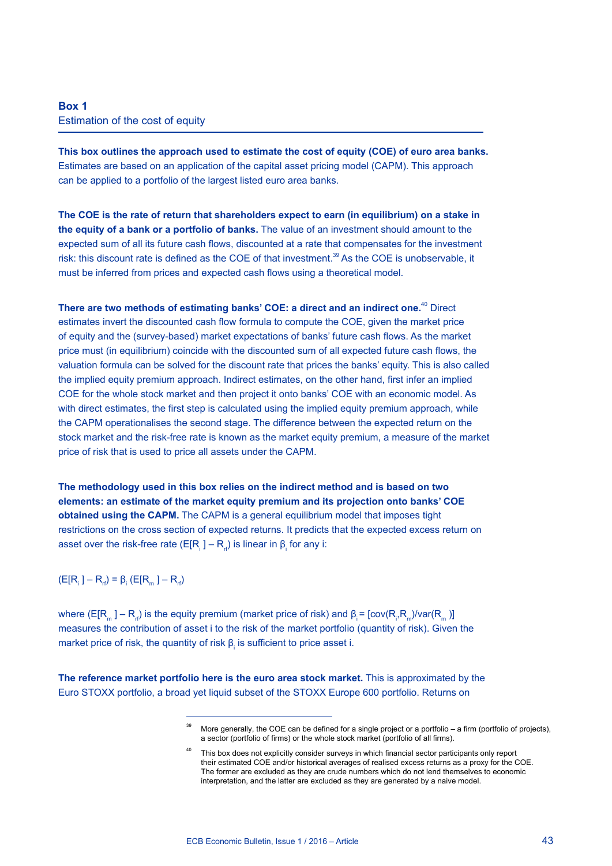### **Box 1** Estimation of the cost of equity

**This box outlines the approach used to estimate the cost of equity (COE) of euro area banks.** Estimates are based on an application of the capital asset pricing model (CAPM). This approach can be applied to a portfolio of the largest listed euro area banks.

**The COE is the rate of return that shareholders expect to earn (in equilibrium) on a stake in the equity of a bank or a portfolio of banks.** The value of an investment should amount to the expected sum of all its future cash flows, discounted at a rate that compensates for the investment risk: this discount rate is defined as the COE of that investment.<sup>39</sup> As the COE is unobservable, it must be inferred from prices and expected cash flows using a theoretical model.

**There are two methods of estimating banks' COE: a direct and an indirect one.**40 Direct estimates invert the discounted cash flow formula to compute the COE, given the market price of equity and the (survey-based) market expectations of banks' future cash flows. As the market price must (in equilibrium) coincide with the discounted sum of all expected future cash flows, the valuation formula can be solved for the discount rate that prices the banks' equity. This is also called the implied equity premium approach. Indirect estimates, on the other hand, first infer an implied COE for the whole stock market and then project it onto banks' COE with an economic model. As with direct estimates, the first step is calculated using the implied equity premium approach, while the CAPM operationalises the second stage. The difference between the expected return on the stock market and the risk-free rate is known as the market equity premium, a measure of the market price of risk that is used to price all assets under the CAPM.

**The methodology used in this box relies on the indirect method and is based on two elements: an estimate of the market equity premium and its projection onto banks' COE obtained using the CAPM.** The CAPM is a general equilibrium model that imposes tight restrictions on the cross section of expected returns. It predicts that the expected excess return on asset over the risk-free rate (E[R $_{\rm i}$  ] – R $_{\rm rf}$ ) is linear in β $_{\rm i}$  for any i:

 $(E[R_i] - R_f) = \beta_i (E[R_m] - R_f)$ 

where (E[R<sub>m</sub> ] – R<sub>r</sub>) is the equity premium (market price of risk) and β<sub>i</sub> = [cov(R<sub>i</sub>,R<sub>m</sub>)/var(R<sub>m</sub> )] measures the contribution of asset i to the risk of the market portfolio (quantity of risk). Given the market price of risk, the quantity of risk  $β<sub>i</sub>$  is sufficient to price asset i.

**The reference market portfolio here is the euro area stock market.** This is approximated by the Euro STOXX portfolio, a broad yet liquid subset of the STOXX Europe 600 portfolio. Returns on

More generally, the COE can be defined for a single project or a portfolio – a firm (portfolio of projects), a sector (portfolio of firms) or the whole stock market (portfolio of all firms).

This box does not explicitly consider surveys in which financial sector participants only report their estimated COE and/or historical averages of realised excess returns as a proxy for the COE. The former are excluded as they are crude numbers which do not lend themselves to economic interpretation, and the latter are excluded as they are generated by a naive model.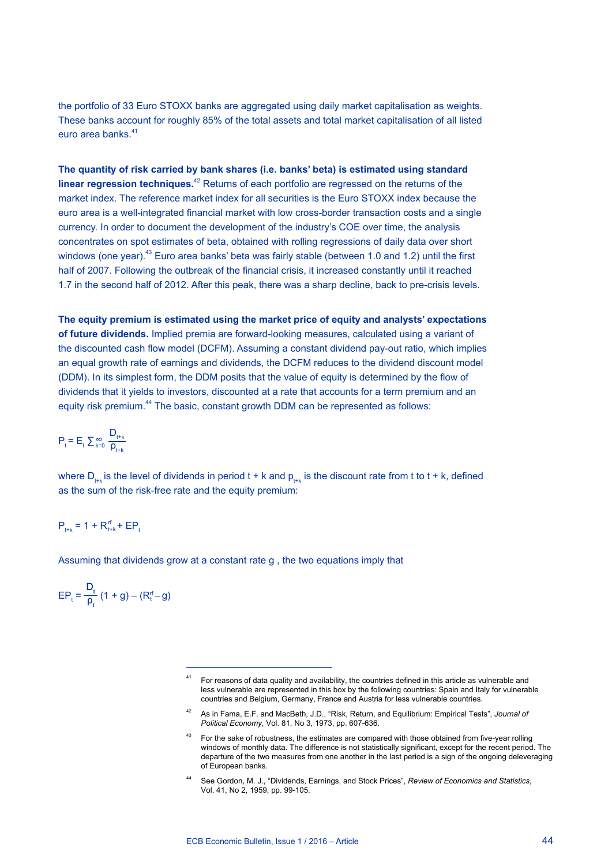the portfolio of 33 Euro STOXX banks are aggregated using daily market capitalisation as weights. These banks account for roughly 85% of the total assets and total market capitalisation of all listed euro area banks.<sup>41</sup>

**The quantity of risk carried by bank shares (i.e. banks' beta) is estimated using standard linear regression techniques.**42 Returns of each portfolio are regressed on the returns of the market index. The reference market index for all securities is the Euro STOXX index because the euro area is a well-integrated financial market with low cross-border transaction costs and a single currency. In order to document the development of the industry's COE over time, the analysis concentrates on spot estimates of beta, obtained with rolling regressions of daily data over short windows (one year).<sup>43</sup> Euro area banks' beta was fairly stable (between 1.0 and 1.2) until the first half of 2007. Following the outbreak of the financial crisis, it increased constantly until it reached 1.7 in the second half of 2012. After this peak, there was a sharp decline, back to pre-crisis levels.

**The equity premium is estimated using the market price of equity and analysts' expectations of future dividends.** Implied premia are forward-looking measures, calculated using a variant of the discounted cash flow model (DCFM). Assuming a constant dividend pay-out ratio, which implies an equal growth rate of earnings and dividends, the DCFM reduces to the dividend discount model (DDM). In its simplest form, the DDM posits that the value of equity is determined by the flow of dividends that it yields to investors, discounted at a rate that accounts for a term premium and an equity risk premium.<sup>44</sup> The basic, constant growth DDM can be represented as follows:

$$
\boldsymbol{P}_t = \boldsymbol{E}_t \sum \boldsymbol{\mathop{\sum}}_{k=0}^{\infty} \frac{\boldsymbol{D}_{t+k}}{\boldsymbol{\rho}_{t+k}}
$$

where  $D_{t+k}$  is the level of dividends in period t + k and  $p_{t+k}$  is the discount rate from t to t + k, defined as the sum of the risk-free rate and the equity premium:

### $P_{t+k} = 1 + R_{t+k}^{\text{rf}} + EP_{t}$

Assuming that dividends grow at a constant rate g , the two equations imply that

$$
EP_t = \frac{D_t}{\rho_t} (1 + g) - (R_t^{rf} - g)
$$

<sup>41</sup> For reasons of data quality and availability, the countries defined in this article as vulnerable and less vulnerable are represented in this box by the following countries: Spain and Italy for vulnerable countries and Belgium, Germany, France and Austria for less vulnerable countries.

<sup>42</sup> As in Fama, E.F. and MacBeth, J.D., "Risk, Return, and Equilibrium: Empirical Tests", *Journal of Political Economy*, Vol. 81, No 3, 1973, pp. 607-636.

<sup>43</sup> For the sake of robustness, the estimates are compared with those obtained from five-year rolling windows of monthly data. The difference is not statistically significant, except for the recent period. The departure of the two measures from one another in the last period is a sign of the ongoing deleveraging of European banks.

<sup>44</sup> See Gordon, M. J., "Dividends, Earnings, and Stock Prices", *Review of Economics and Statistics*, Vol. 41, No 2, 1959, pp. 99-105.